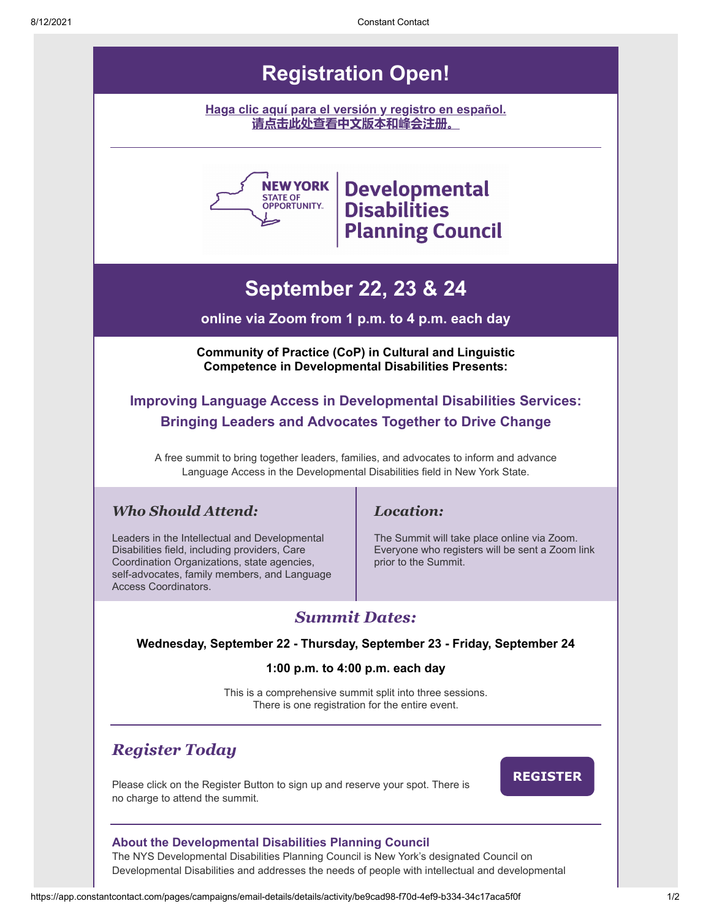## **Registration Open!**

**[Haga clic aquí para el versión y registro en español.](https://conta.cc/3haLp3r) [请点击此处查看中文版本和峰会注册。](https://conta.cc/3jSyntl)**



# **NEW YORK Developmental Planning Council**

# **September 22, 23 & 24**

#### **online via Zoom from 1 p.m. to 4 p.m. each day**

**Community of Practice (CoP) in Cultural and Linguistic Competence in Developmental Disabilities Presents:**

## **Improving Language Access in Developmental Disabilities Services: Bringing Leaders and Advocates Together to Drive Change**

A free summit to bring together leaders, families, and advocates to inform and advance Language Access in the Developmental Disabilities field in New York State.

### *Who Should Attend:*

Leaders in the Intellectual and Developmental Disabilities field, including providers, Care Coordination Organizations, state agencies, self-advocates, family members, and Language Access Coordinators.

### *Location:*

The Summit will take place online via Zoom. Everyone who registers will be sent a Zoom link prior to the Summit.

## *Summit Dates:*

#### **Wednesday, September 22 - Thursday, September 23 - Friday, September 24**

#### **1:00 p.m. to 4:00 p.m. each day**

This is a comprehensive summit split into three sessions. There is one registration for the entire event.

## *Register Today*

Please click on the Register Button to sign up and reserve your spot. There is no charge to attend the summit.

**[REGISTER](http://events.constantcontact.com/register/event?llr=imglgncbb&oeidk=a07ei3n42dk49d32594)**

#### **About the Developmental Disabilities Planning Council**

The NYS Developmental Disabilities Planning Council is New York's designated Council on Developmental Disabilities and addresses the needs of people with intellectual and developmental